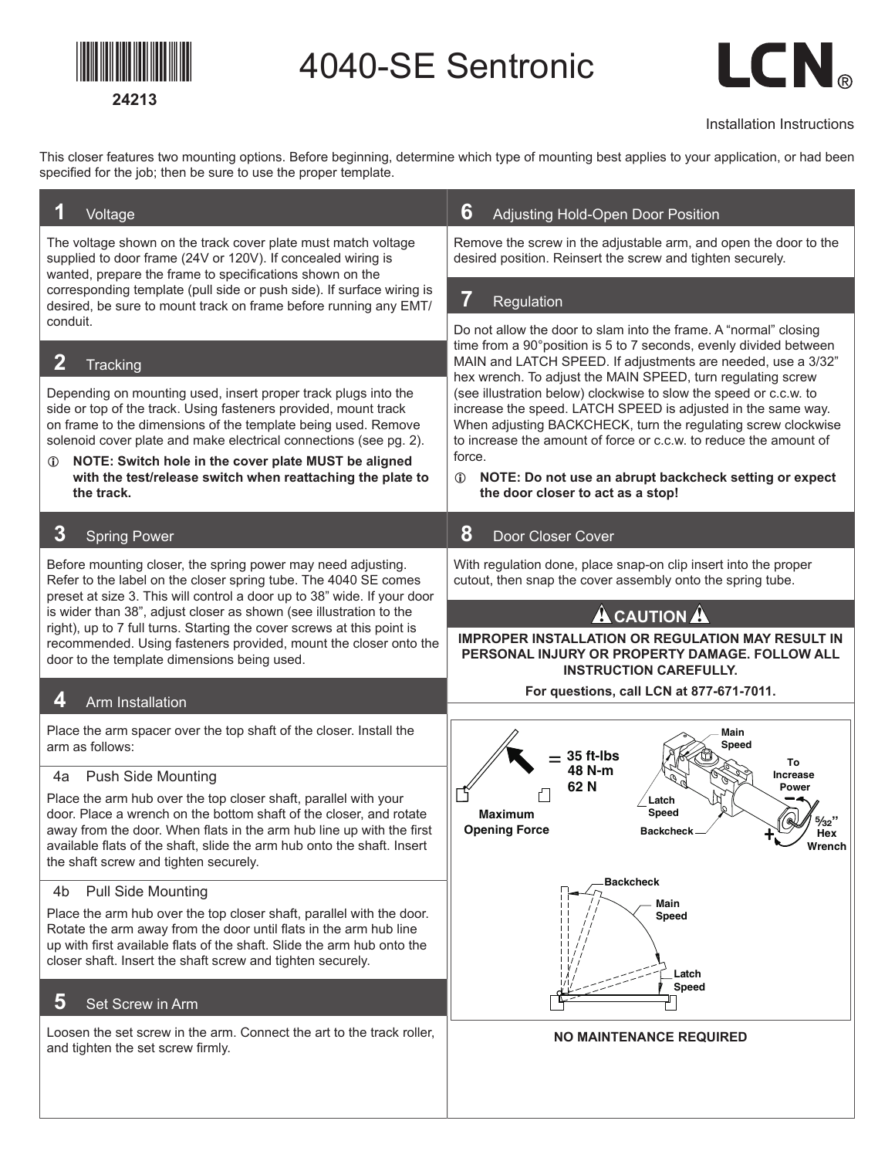

4040-SE Sentronic



Installation Instructions

This closer features two mounting options. Before beginning, determine which type of mounting best applies to your application, or had been specified for the job; then be sure to use the proper template.

| Voltage                                                                                                                                                                                                                                                                                                                                                                                                                                                               | 6<br>Adjusting Hold-Open Door Position                                                                                                                                                                                                                                                                                                                                                                                                                                                                                                                                                                                                                                    |  |  |  |  |  |  |
|-----------------------------------------------------------------------------------------------------------------------------------------------------------------------------------------------------------------------------------------------------------------------------------------------------------------------------------------------------------------------------------------------------------------------------------------------------------------------|---------------------------------------------------------------------------------------------------------------------------------------------------------------------------------------------------------------------------------------------------------------------------------------------------------------------------------------------------------------------------------------------------------------------------------------------------------------------------------------------------------------------------------------------------------------------------------------------------------------------------------------------------------------------------|--|--|--|--|--|--|
| The voltage shown on the track cover plate must match voltage<br>supplied to door frame (24V or 120V). If concealed wiring is<br>wanted, prepare the frame to specifications shown on the                                                                                                                                                                                                                                                                             | Remove the screw in the adjustable arm, and open the door to the<br>desired position. Reinsert the screw and tighten securely.                                                                                                                                                                                                                                                                                                                                                                                                                                                                                                                                            |  |  |  |  |  |  |
| corresponding template (pull side or push side). If surface wiring is<br>desired, be sure to mount track on frame before running any EMT/                                                                                                                                                                                                                                                                                                                             | $\overline{\textit{I}}$<br>Regulation                                                                                                                                                                                                                                                                                                                                                                                                                                                                                                                                                                                                                                     |  |  |  |  |  |  |
| conduit.<br>$\mathbf 2$<br><b>Tracking</b><br>Depending on mounting used, insert proper track plugs into the<br>side or top of the track. Using fasteners provided, mount track<br>on frame to the dimensions of the template being used. Remove<br>solenoid cover plate and make electrical connections (see pg. 2).<br>NOTE: Switch hole in the cover plate MUST be aligned<br>$\omega$<br>with the test/release switch when reattaching the plate to<br>the track. | Do not allow the door to slam into the frame. A "normal" closing<br>time from a 90° position is 5 to 7 seconds, evenly divided between<br>MAIN and LATCH SPEED. If adjustments are needed, use a 3/32"<br>hex wrench. To adjust the MAIN SPEED, turn regulating screw<br>(see illustration below) clockwise to slow the speed or c.c.w. to<br>increase the speed. LATCH SPEED is adjusted in the same way.<br>When adjusting BACKCHECK, turn the regulating screw clockwise<br>to increase the amount of force or c.c.w. to reduce the amount of<br>force.<br>NOTE: Do not use an abrupt backcheck setting or expect<br>$\mathbb{O}$<br>the door closer to act as a stop! |  |  |  |  |  |  |
| $\bf{3}$<br><b>Spring Power</b>                                                                                                                                                                                                                                                                                                                                                                                                                                       | 8<br>Door Closer Cover                                                                                                                                                                                                                                                                                                                                                                                                                                                                                                                                                                                                                                                    |  |  |  |  |  |  |
| Before mounting closer, the spring power may need adjusting.<br>Refer to the label on the closer spring tube. The 4040 SE comes<br>preset at size 3. This will control a door up to 38" wide. If your door                                                                                                                                                                                                                                                            | With regulation done, place snap-on clip insert into the proper<br>cutout, then snap the cover assembly onto the spring tube.                                                                                                                                                                                                                                                                                                                                                                                                                                                                                                                                             |  |  |  |  |  |  |
| is wider than 38", adjust closer as shown (see illustration to the                                                                                                                                                                                                                                                                                                                                                                                                    | <b>A</b> CAUTION A                                                                                                                                                                                                                                                                                                                                                                                                                                                                                                                                                                                                                                                        |  |  |  |  |  |  |
| right), up to 7 full turns. Starting the cover screws at this point is<br>recommended. Using fasteners provided, mount the closer onto the<br>door to the template dimensions being used.                                                                                                                                                                                                                                                                             | <b>IMPROPER INSTALLATION OR REGULATION MAY RESULT IN</b><br>PERSONAL INJURY OR PROPERTY DAMAGE. FOLLOW ALL<br><b>INSTRUCTION CAREFULLY.</b>                                                                                                                                                                                                                                                                                                                                                                                                                                                                                                                               |  |  |  |  |  |  |
| 4<br>Arm Installation                                                                                                                                                                                                                                                                                                                                                                                                                                                 | For questions, call LCN at 877-671-7011.                                                                                                                                                                                                                                                                                                                                                                                                                                                                                                                                                                                                                                  |  |  |  |  |  |  |
| Place the arm spacer over the top shaft of the closer. Install the<br>arm as follows:                                                                                                                                                                                                                                                                                                                                                                                 | Main<br>Speed<br>35 ft-Ibs<br>To                                                                                                                                                                                                                                                                                                                                                                                                                                                                                                                                                                                                                                          |  |  |  |  |  |  |
| <b>Push Side Mounting</b><br>4a                                                                                                                                                                                                                                                                                                                                                                                                                                       | 48 N-m<br><b>Increase</b><br>62N<br><b>Power</b>                                                                                                                                                                                                                                                                                                                                                                                                                                                                                                                                                                                                                          |  |  |  |  |  |  |
| Place the arm hub over the top closer shaft, parallel with your<br>door. Place a wrench on the bottom shaft of the closer, and rotate<br>away from the door. When flats in the arm hub line up with the first<br>available flats of the shaft, slide the arm hub onto the shaft. Insert<br>the shaft screw and tighten securely.                                                                                                                                      | Latch<br>Speed<br>Maximum<br><b>Opening Force</b><br><b>Backchecl</b><br>Hex<br>Wrench                                                                                                                                                                                                                                                                                                                                                                                                                                                                                                                                                                                    |  |  |  |  |  |  |
| <b>Pull Side Mounting</b><br>4b                                                                                                                                                                                                                                                                                                                                                                                                                                       | <b>Backcheck</b><br>Main                                                                                                                                                                                                                                                                                                                                                                                                                                                                                                                                                                                                                                                  |  |  |  |  |  |  |
| Place the arm hub over the top closer shaft, parallel with the door.<br>Rotate the arm away from the door until flats in the arm hub line<br>up with first available flats of the shaft. Slide the arm hub onto the<br>closer shaft. Insert the shaft screw and tighten securely.                                                                                                                                                                                     | Speed<br>Latch<br><b>Speed</b>                                                                                                                                                                                                                                                                                                                                                                                                                                                                                                                                                                                                                                            |  |  |  |  |  |  |
| 5<br>Set Screw in Arm                                                                                                                                                                                                                                                                                                                                                                                                                                                 |                                                                                                                                                                                                                                                                                                                                                                                                                                                                                                                                                                                                                                                                           |  |  |  |  |  |  |
| Loosen the set screw in the arm. Connect the art to the track roller,<br>and tighten the set screw firmly.                                                                                                                                                                                                                                                                                                                                                            | <b>NO MAINTENANCE REQUIRED</b>                                                                                                                                                                                                                                                                                                                                                                                                                                                                                                                                                                                                                                            |  |  |  |  |  |  |
|                                                                                                                                                                                                                                                                                                                                                                                                                                                                       |                                                                                                                                                                                                                                                                                                                                                                                                                                                                                                                                                                                                                                                                           |  |  |  |  |  |  |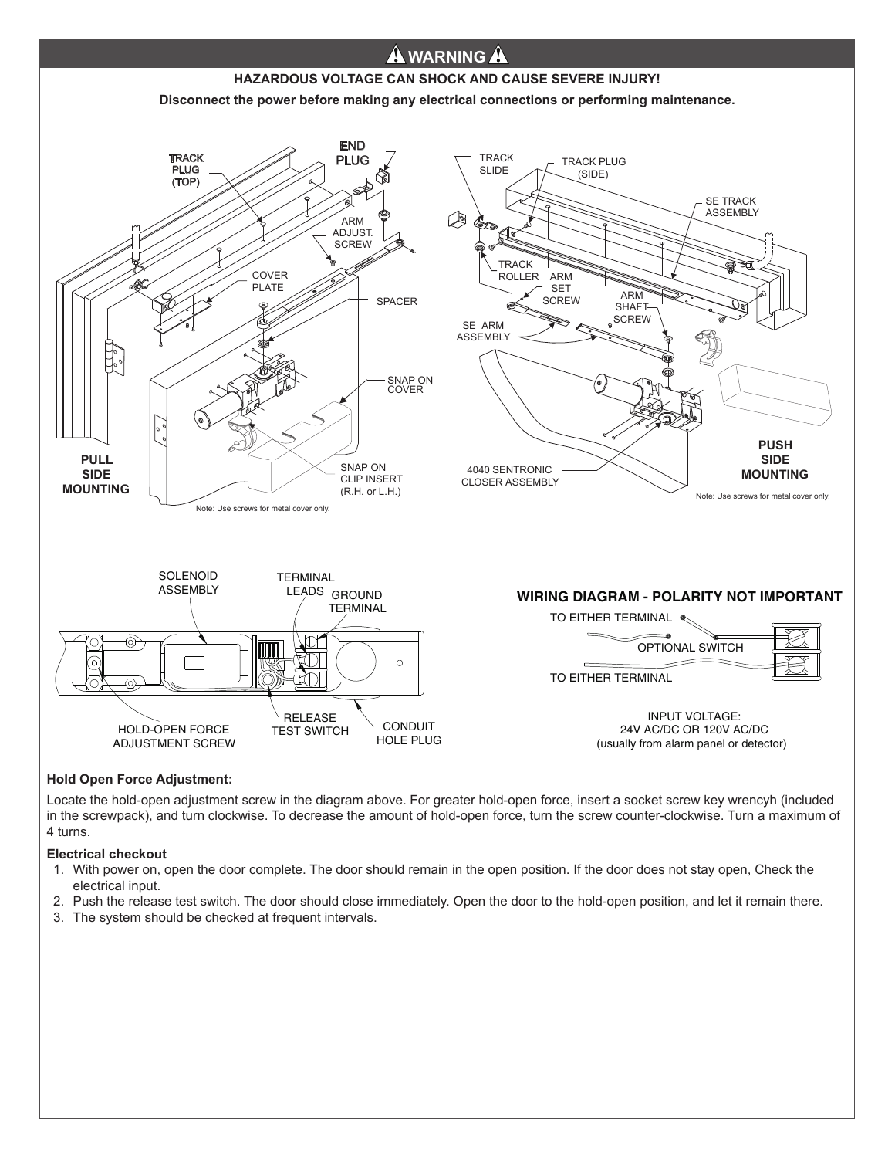

## **Hold Open Force Adjustment:**

Locate the hold-open adjustment screw in the diagram above. For greater hold-open force, insert a socket screw key wrencyh (included in the screwpack), and turn clockwise. To decrease the amount of hold-open force, turn the screw counter-clockwise. Turn a maximum of 4 turns.

## **Electrical checkout**

- 1. With power on, open the door complete. The door should remain in the open position. If the door does not stay open, Check the electrical input.
- 2. Push the release test switch. The door should close immediately. Open the door to the hold-open position, and let it remain there.
- 3. The system should be checked at frequent intervals.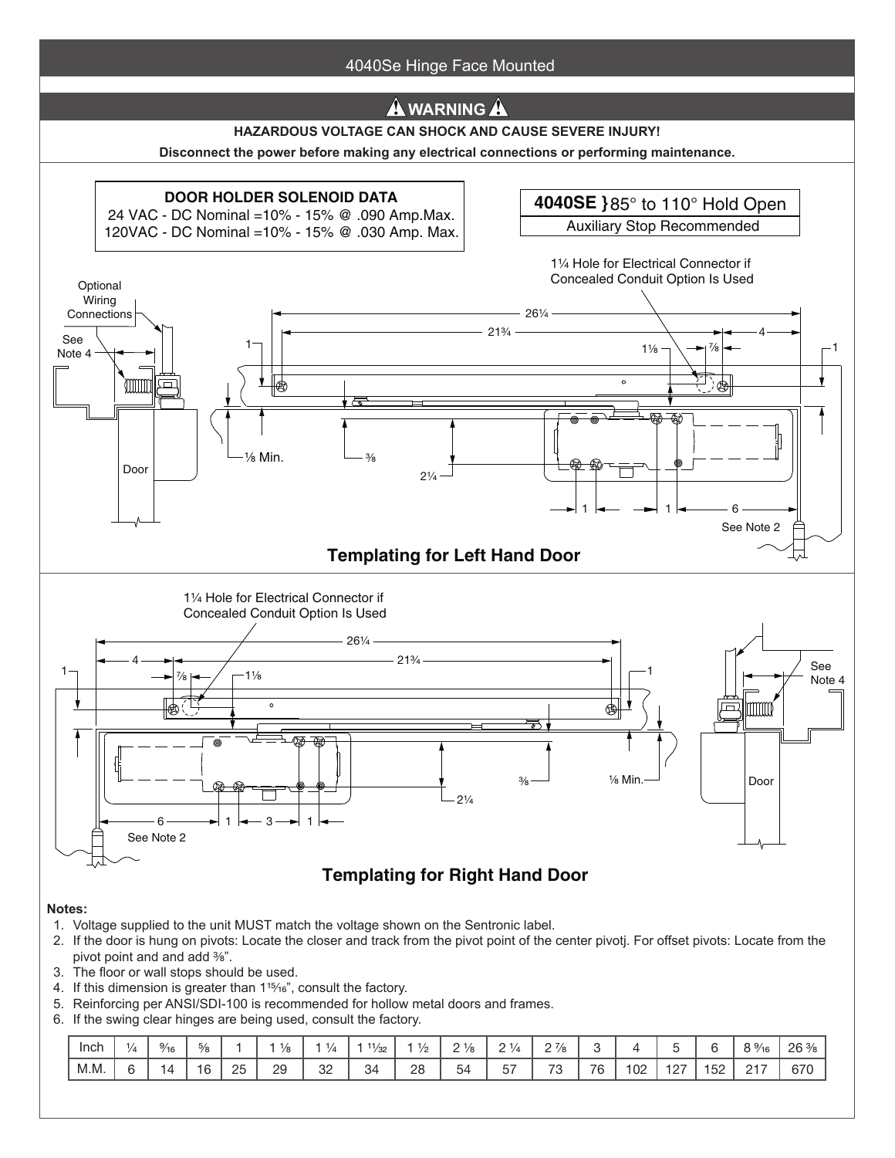

- 5. Reinforcing per ANSI/SDI-100 is recommended for hollow metal doors and frames.
- 6. If the swing clear hinges are being used, consult the factory.

| Inch | '/4 | $\frac{9}{16}$ | $\frac{5}{8}$ |    | '/я | ٠<br>$\frac{1}{2}$ | $-4.4$<br>$\frac{1}{32}$ | $\rightarrow$<br>1/n<br>c | .<br>$1/\alpha$<br>- | $\sim$ $\rightarrow$ $\prime$<br>$1/\mu$ | $\sim$ 7<br>$\frac{1}{8}$<br>- |    |              |            |     | $\degree$ %      | 26 <sup>3</sup><br>৺৪ |
|------|-----|----------------|---------------|----|-----|--------------------|--------------------------|---------------------------|----------------------|------------------------------------------|--------------------------------|----|--------------|------------|-----|------------------|-----------------------|
| M.M. |     | $\sqrt{ }$     | ີ             | つに | 29  | 32                 | 34                       | 28                        | -<br>54              | $- -$<br><u>_</u><br>ັ                   | 70<br>ັ                        | 76 | $\cap$<br>∪∠ | ໍດາ<br>ے ا | 152 | 0.47<br><u>_</u> | 670                   |